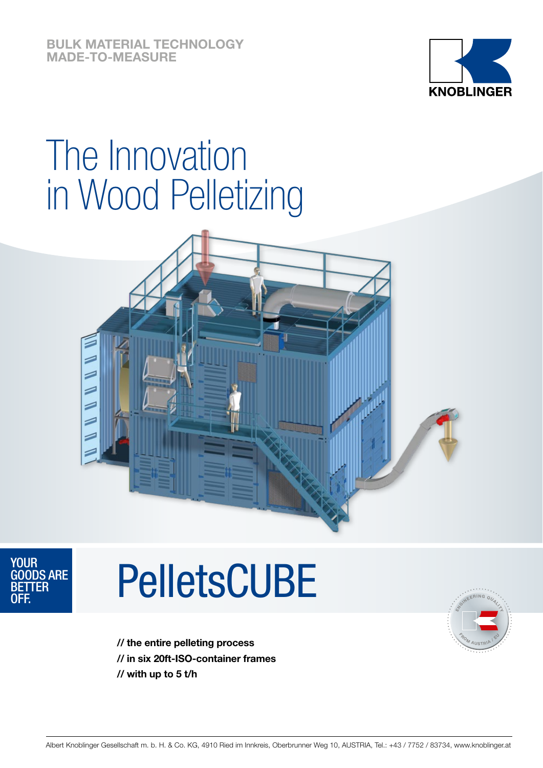**BULK MATERIAL TECHNOLOGY MADE-TO-MEASURE**



## The Innovation in Wood Pelletizing





# **PelletsCUBE**



**// the entire pelleting process // in six 20ft-ISO-container frames // with up to 5 t/h**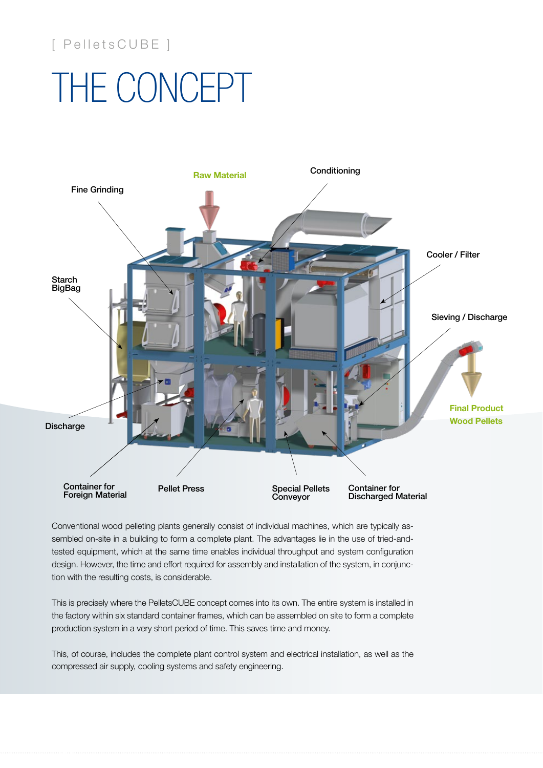### [ PelletsCUBE ]

## THE CONCEPT



Conventional wood pelleting plants generally consist of individual machines, which are typically assembled on-site in a building to form a complete plant. The advantages lie in the use of tried-andtested equipment, which at the same time enables individual throughput and system configuration design. However, the time and effort required for assembly and installation of the system, in conjunction with the resulting costs, is considerable.

This is precisely where the PelletsCUBE concept comes into its own. The entire system is installed in the factory within six standard container frames, which can be assembled on site to form a complete production system in a very short period of time. This saves time and money.

This, of course, includes the complete plant control system and electrical installation, as well as the compressed air supply, cooling systems and safety engineering.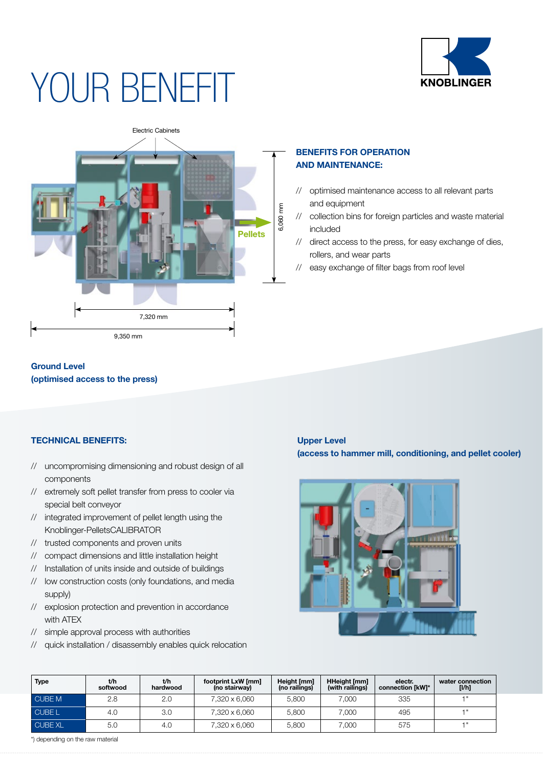

## YOUR BENEFIT



### **Ground Level**

**(optimised access to the press)**

#### **TECHNICAL BENEFITS:**

- // uncompromising dimensioning and robust design of all components
- // extremely soft pellet transfer from press to cooler via special belt conveyor
- // integrated improvement of pellet length using the Knoblinger-PelletsCALIBRATOR
- // trusted components and proven units
- // compact dimensions and little installation height
- // Installation of units inside and outside of buildings
- // low construction costs (only foundations, and media supply)
- // explosion protection and prevention in accordance with ATEX
- // simple approval process with authorities
- // quick installation / disassembly enables quick relocation

#### **BENEFITS FOR OPERATION AND MAINTENANCE:**

- // optimised maintenance access to all relevant parts and equipment
- // collection bins for foreign particles and waste material included
- // direct access to the press, for easy exchange of dies, rollers, and wear parts
- // easy exchange of filter bags from roof level

#### **Upper Level (access to hammer mill, conditioning, and pellet cooler)**



| <b>Type</b>    | t/h<br>softwood | t/h<br>hardwood | footprint LxW [mm]<br>(no stairway) | Height [mm]<br>(no railings) | <b>HHeight [mm]</b><br>(with railings) | electr.<br>connection [kW]* | water connection<br>[1/h] |
|----------------|-----------------|-----------------|-------------------------------------|------------------------------|----------------------------------------|-----------------------------|---------------------------|
| <b>CUBE M</b>  | 2.8             | 2.0             | 7,320 x 6,060                       | 5.800                        | 7.000                                  | 335                         | $-1$                      |
| <b>CUBE L</b>  | 4.0             | 3.0             | 7.320 x 6.060                       | 5.800                        | 7.000                                  | 495                         | - 11                      |
| <b>CUBE XL</b> | 5.0             | 4.0             | 7,320 x 6,060                       | 5.800                        | 7.000                                  | 575                         | - 11                      |

\*) depending on the raw material